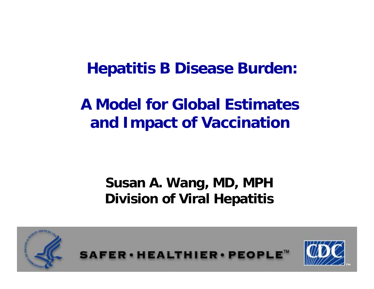### **Hepatitis B Disease Burden:**

# **A Model for Global Estimates and Impact of Vaccination**

### **Susan A. Wang, MD, MPH Division of Viral Hepatitis**

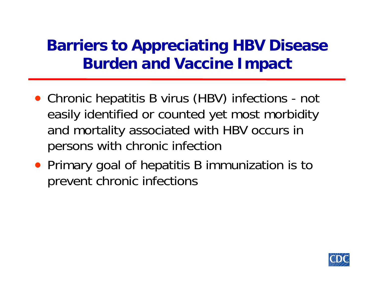# **Barriers to Appreciating HBV Disease Burden and Vaccine Impact**

- Chronic hepatitis B virus (HBV) infections not easily identified or counted yet most morbidity and mortality associated with HBV occurs in persons with chronic infection
- Primary goal of hepatitis B immunization is to prevent chronic infections

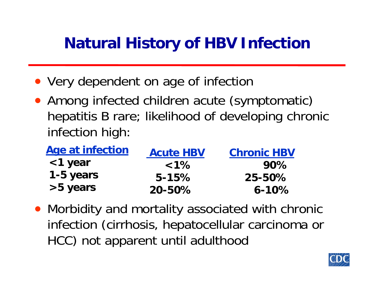# **Natural History of HBV Infection**

- Very dependent on age of infection
- Among infected children acute (symptomatic) hepatitis B rare; likelihood of developing chronic infection high:

| Age at infection | <b>Acute HBV</b> | <b>Chronic HBV</b> |
|------------------|------------------|--------------------|
| <1 year          | $1\%$            | 90%                |
| 1-5 years        | $5 - 15%$        | 25-50%             |
| >5 years         | $20 - 50\%$      | $6 - 10\%$         |

• Morbidity and mortality associated with chronic infection (cirrhosis, hepatocellular carcinoma or HCC) not apparent until adulthood

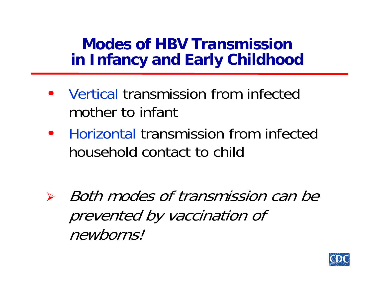## **Modes of HBV Transmission in Infancy and Early Childhood**

- • Vertical transmission from infected mother to infant
- • Horizontal transmission from infected household contact to child

¾ Both modes of transmission can be prevented by vaccination of newborns!

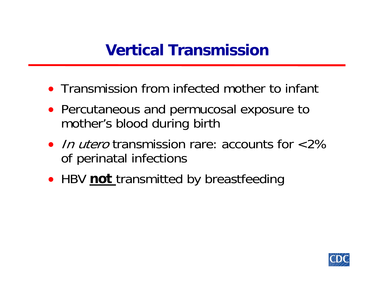# **Vertical Transmission**

- Transmission from infected mother to infant
- Percutaneous and permucosal exposure to mother's blood during birth
- *In utero* transmission rare: accounts for <2% of perinatal infections
- HBV **not** transmitted by breastfeeding

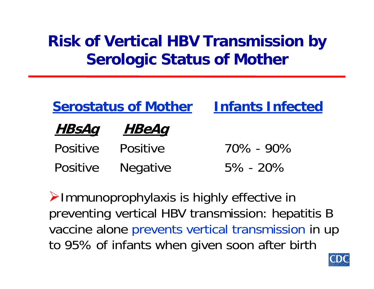# **Risk of Vertical HBV Transmission by Serologic Status of Mother**

| <b>Serostatus of Mother</b> |                 | <b>Infants Infected</b> |  |
|-----------------------------|-----------------|-------------------------|--|
| <u>HBsAq</u>                | <u>HBeAq</u>    |                         |  |
| <b>Positive</b>             | <b>Positive</b> | $70\% - 90\%$           |  |
| Positive                    | Negative        | $5\% - 20\%$            |  |

¾Immunoprophylaxis is highly effective in preventing vertical HBV transmission: hepatitis B vaccine alone prevents vertical transmission in up to 95% of infants when given soon after birth

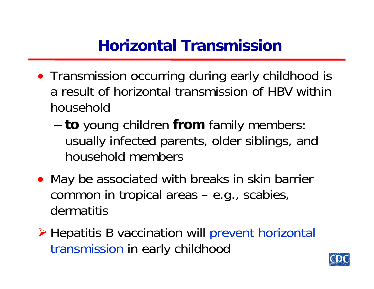# **Horizontal Transmission**

- Transmission occurring during early childhood is a result of horizontal transmission of HBV within household
	- **to** young children **from** family members: usually infected parents, older siblings, and household members
- May be associated with breaks in skin barrier common in tropical areas – e.g., scabies, dermatitis
- ¾ Hepatitis B vaccination will prevent horizontal transmission in early childhood

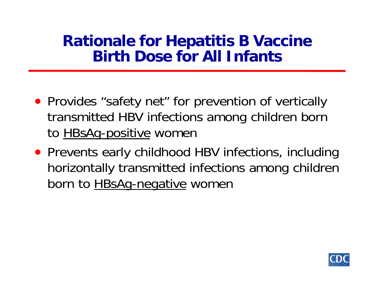### **Rationale for Hepatitis B Vaccine Birth Dose for All Infants**

- Provides "safety net" for prevention of vertically transmitted HBV infections among children born to **HBsAg-positive** women
- Prevents early childhood HBV infections, including horizontally transmitted infections among children born to **HBsAg-negative** women

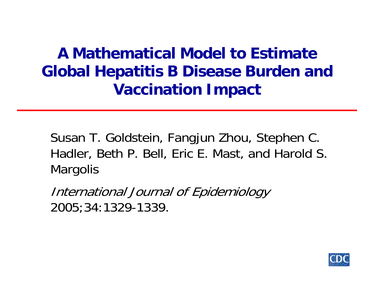# **A Mathematical Model to Estimate Global Hepatitis B Disease Burden and Vaccination Impact**

Susan T. Goldstein, Fangjun Zhou, Stephen C. Hadler, Beth P. Bell, Eric E. Mast, and Harold S. **Margolis** 

International Journal of Epidemiology 2005;34:1329-1339.

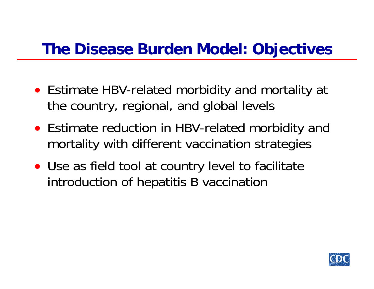### **The Disease Burden Model: Objectives**

- Estimate HBV-related morbidity and mortality at the country, regional, and global levels
- Estimate reduction in HBV-related morbidity and mortality with different vaccination strategies
- Use as field tool at country level to facilitate introduction of hepatitis B vaccination

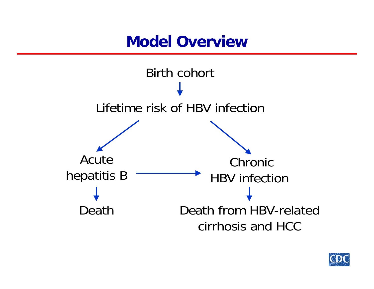### **Model Overview**



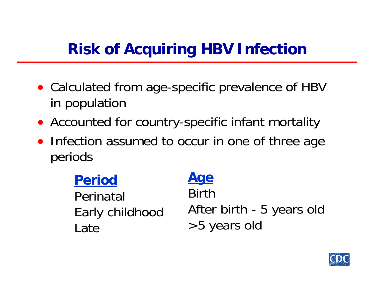# **Risk of Acquiring HBV Infection**

- Calculated from age-specific prevalence of HBV in population
- Accounted for country-specific infant mortality
- Infection assumed to occur in one of three age periods

**Period** Perinatal Early childhood Late

### **Age** BirthAfter birth - 5 years old >5 years old

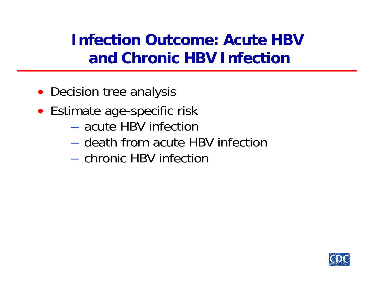# **Infection Outcome: Acute HBV and Chronic HBV Infection**

- Decision tree analysis
- Estimate age-specific risk
	- acute HBV infection
	- death from acute HBV infection
	- chronic HBV infection

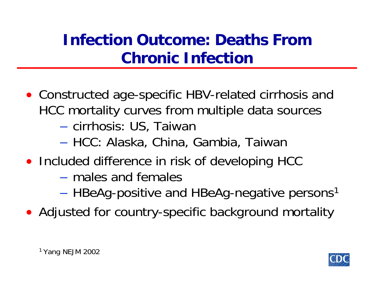# **Infection Outcome: Deaths From Chronic Infection**

- Constructed age-specific HBV-related cirrhosis and HCC mortality curves from multiple data sources cirrhosis: US, Taiwan
	- HCC: Alaska, China, Gambia, Taiwan
- Included difference in risk of developing HCC
	- males and females
	- **Land Common**  $-$  HBeAg-positive and HBeAg-negative persons<sup>1</sup>
- Adjusted for country-specific background mortality

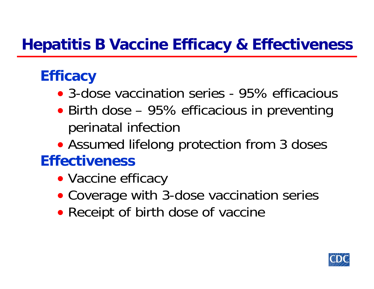## **Hepatitis B Vaccine Efficacy & Effectiveness**

# **Efficacy**

- 3-dose vaccination series 95% efficacious
- Birth dose 95% efficacious in preventing perinatal infection
- Assumed lifelong protection from 3 doses

### **Effectiveness**

- Vaccine efficacy
- Coverage with 3-dose vaccination series
- Receipt of birth dose of vaccine

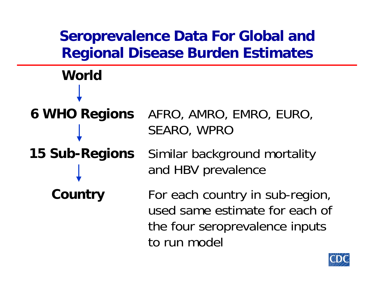# **Seroprevalence Data For Global and Regional Disease Burden Estimates World6 WHO Regions** AFRO, AMRO, EMRO, EURO, SEARO, WPRO **15 Sub-Regions** Similar background mortality and HBV prevalence **Country** For each country in sub-region,

to run model

used same estimate for each of

the four seroprevalence inputs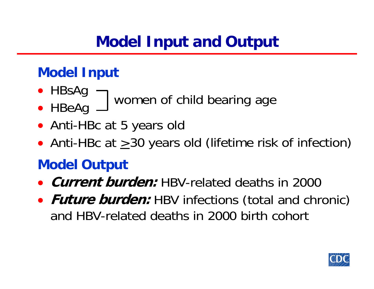# **Model Input and Output**

### **Model Input**

- HBsAg
	- women of child bearing age
- HBeAg
- Anti-HBc at 5 years old
- $\bullet$ • Anti-HBc at  $\geq$  30 years old (lifetime risk of infection)

### **Model Output**

- **Current burden:** HBV-related deaths in 2000
- $\bullet$ **• Future burden:** HBV infections (total and chronic) and HBV-related deaths in 2000 birth cohort

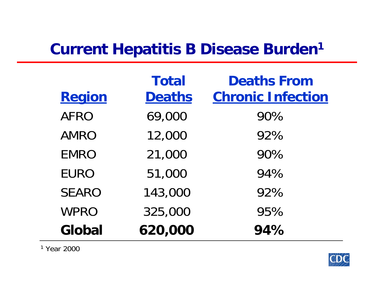# **Current Hepatitis B Disease Burden 1**

|              | <b>Total</b>  | <b>Deaths From</b>       |
|--------------|---------------|--------------------------|
| Region       | <b>Deaths</b> | <b>Chronic Infection</b> |
| <b>AFRO</b>  | 69,000        | 90%                      |
| <b>AMRO</b>  | 12,000        | 92%                      |
| <b>EMRO</b>  | 21,000        | 90%                      |
| <b>EURO</b>  | 51,000        | 94%                      |
| <b>SEARO</b> | 143,000       | 92%                      |
| <b>WPRO</b>  | 325,000       | 95%                      |
| Global       | 620,000       | 94%                      |

1 Year 2000

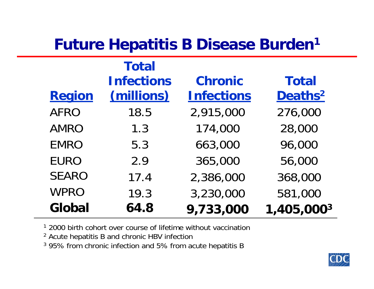# **Future Hepatitis B Disease Burden 1**

|              | <b>Total</b>      |                   |                     |
|--------------|-------------------|-------------------|---------------------|
|              | <b>Infections</b> | <b>Chronic</b>    | <b>Total</b>        |
| Region       | (millions)        | <b>Infections</b> | Deaths <sup>2</sup> |
| <b>AFRO</b>  | 18.5              | 2,915,000         | 276,000             |
| <b>AMRO</b>  | 1.3               | 174,000           | 28,000              |
| <b>EMRO</b>  | 5.3               | 663,000           | 96,000              |
| <b>EURO</b>  | 2.9               | 365,000           | 56,000              |
| <b>SEARO</b> | 17.4              | 2,386,000         | 368,000             |
| <b>WPRO</b>  | 19.3              | 3,230,000         | 581,000             |
| Global       | 64.8              | 9,733,000         | 1,405,0003          |

<sup>1</sup> 2000 birth cohort over course of lifetime without vaccination

<sup>2</sup> Acute hepatitis B and chronic HBV infection

 $3$  95% from chronic infection and 5% from acute hepatitis B

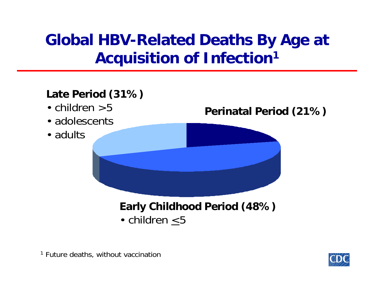# **Global HBV-Related Deaths By Age at Acquisition of Infection 1**

### **Late Period (31%)**

- •children >5
- adolescents
- adults

### **Perinatal Period (21%)**

### **Early Childhood Period (48%)** • children <5

<sup>1</sup> Future deaths, without vaccination

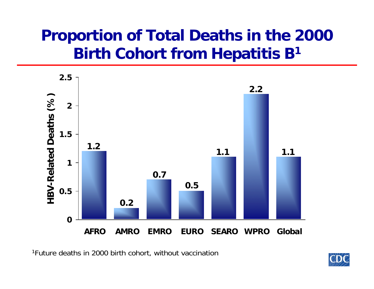# **Proportion of Total Deaths in the 2000 Birth Cohort from Hepatitis B 1**



1Future deaths in 2000 birth cohort, without vaccination

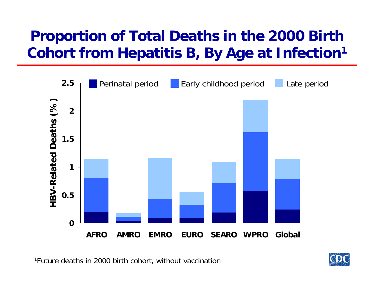## **Proportion of Total Deaths in the 2000 Birth Cohort from Hepatitis B, By Age at Infection 1**



1Future deaths in 2000 birth cohort, without vaccination

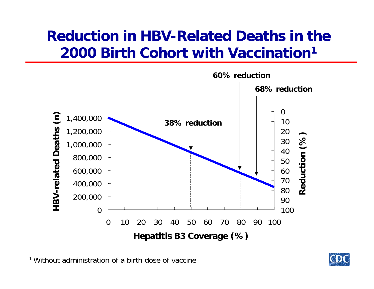### **Reduction in HBV-Related Deaths in the 2000 Birth Cohort with Vaccination1**



<sup>1</sup> Without administration of a birth dose of vaccine

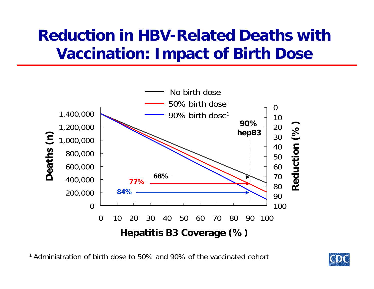# **Reduction in HBV-Related Deaths with Vaccination: Impact of Birth Dose**



<sup>1</sup> Administration of birth dose to 50% and 90% of the vaccinated cohort

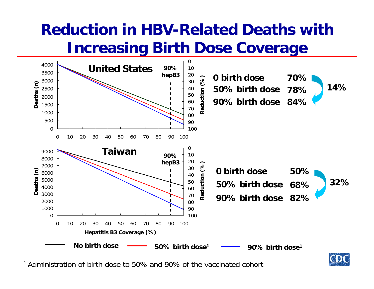# **Reduction in HBV-Related Deaths with Increasing Birth Dose Coverage**



1 Administration of birth dose to 50% and 90% of the vaccinated cohort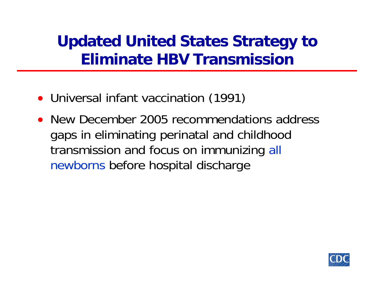# **Updated United States Strategy to Eliminate HBV Transmission**

- Universal infant vaccination (1991)
- New December 2005 recommendations address gaps in eliminating perinatal and childhood transmission and focus on immunizing all newborns before hospital discharge

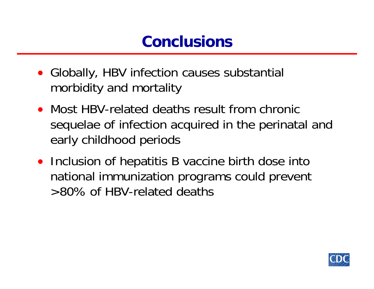# **Conclusions**

- Globally, HBV infection causes substantial morbidity and mortality
- Most HBV-related deaths result from chronic sequelae of infection acquired in the perinatal and early childhood periods
- Inclusion of hepatitis B vaccine birth dose into national immunization programs could prevent >80% of HBV-related deaths

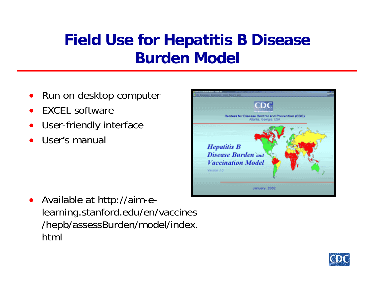# **Field Use for Hepatitis B Disease Burden Model**

- $\bullet$ Run on desktop computer
- •EXCEL software
- •User-friendly interface
- •User's manual



• Available at http://aim-elearning.stanford.edu/en/vaccines /hepb/assessBurden/model/index. html